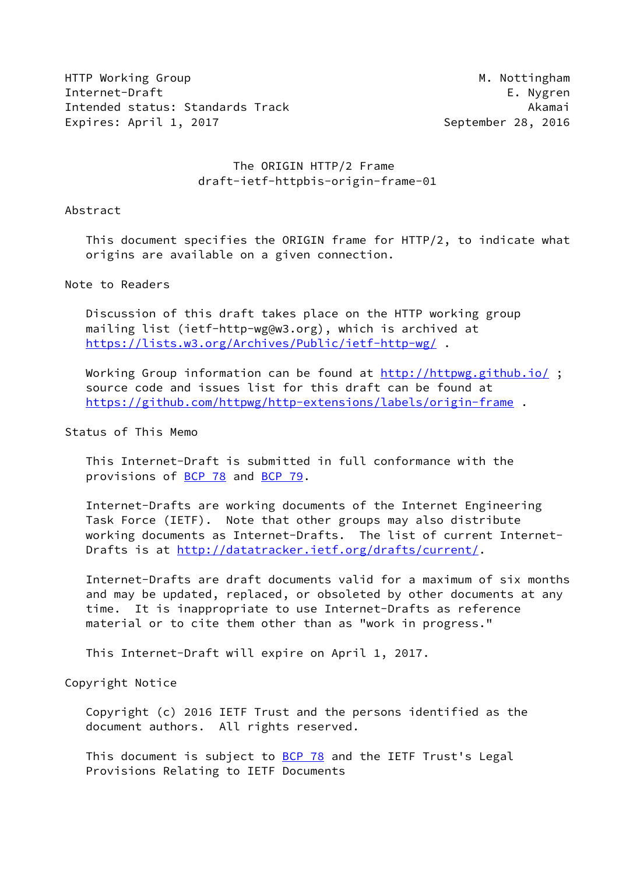HTTP Working Group Millian Communication of the Millian Millian Millian Millian Millian Millian Millian Millian Internet-Draft E. Nygren Intended status: Standards Track Akamai Expires: April 1, 2017 **September 28, 2016** 

# The ORIGIN HTTP/2 Frame draft-ietf-httpbis-origin-frame-01

#### Abstract

 This document specifies the ORIGIN frame for HTTP/2, to indicate what origins are available on a given connection.

#### Note to Readers

 Discussion of this draft takes place on the HTTP working group mailing list (ietf-http-wg@w3.org), which is archived at <https://lists.w3.org/Archives/Public/ietf-http-wg/> .

Working Group information can be found at<http://httpwg.github.io/>; source code and issues list for this draft can be found at <https://github.com/httpwg/http-extensions/labels/origin-frame> .

# Status of This Memo

 This Internet-Draft is submitted in full conformance with the provisions of [BCP 78](https://datatracker.ietf.org/doc/pdf/bcp78) and [BCP 79](https://datatracker.ietf.org/doc/pdf/bcp79).

 Internet-Drafts are working documents of the Internet Engineering Task Force (IETF). Note that other groups may also distribute working documents as Internet-Drafts. The list of current Internet Drafts is at<http://datatracker.ietf.org/drafts/current/>.

 Internet-Drafts are draft documents valid for a maximum of six months and may be updated, replaced, or obsoleted by other documents at any time. It is inappropriate to use Internet-Drafts as reference material or to cite them other than as "work in progress."

This Internet-Draft will expire on April 1, 2017.

Copyright Notice

 Copyright (c) 2016 IETF Trust and the persons identified as the document authors. All rights reserved.

This document is subject to [BCP 78](https://datatracker.ietf.org/doc/pdf/bcp78) and the IETF Trust's Legal Provisions Relating to IETF Documents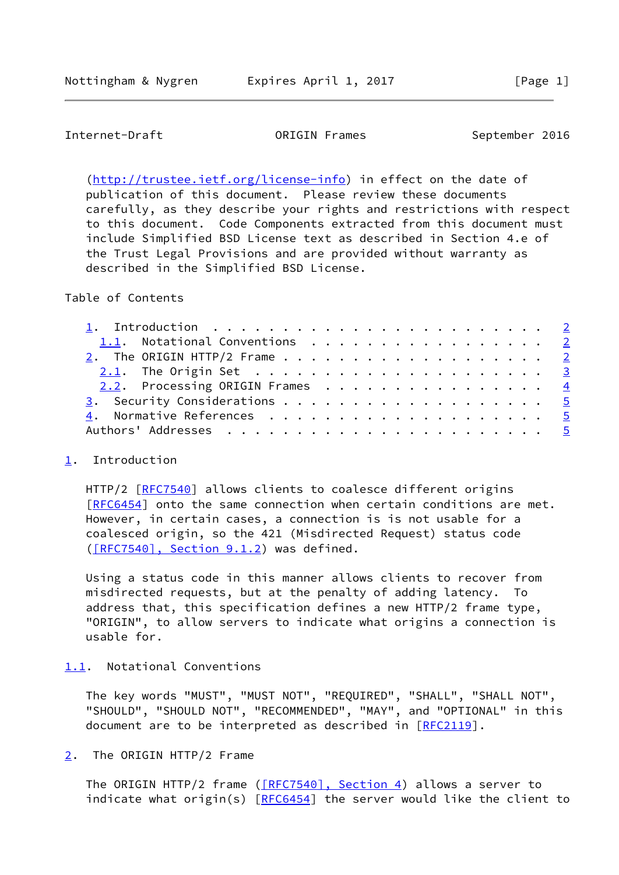# <span id="page-1-1"></span>Internet-Draft **Canadian CORIGIN Frames** September 2016

 [\(http://trustee.ietf.org/license-info](http://trustee.ietf.org/license-info)) in effect on the date of publication of this document. Please review these documents carefully, as they describe your rights and restrictions with respect to this document. Code Components extracted from this document must include Simplified BSD License text as described in Section 4.e of the Trust Legal Provisions and are provided without warranty as described in the Simplified BSD License.

Table of Contents

| 1.1. Notational Conventions 2         |  |
|---------------------------------------|--|
| 2. The ORIGIN HTTP/2 Frame $\ldots$ 2 |  |
|                                       |  |
| 2.2. Processing ORIGIN Frames 4       |  |
|                                       |  |
|                                       |  |
|                                       |  |

### <span id="page-1-0"></span>[1](#page-1-0). Introduction

HTTP/2 [\[RFC7540](https://datatracker.ietf.org/doc/pdf/rfc7540)] allows clients to coalesce different origins [\[RFC6454](https://datatracker.ietf.org/doc/pdf/rfc6454)] onto the same connection when certain conditions are met. However, in certain cases, a connection is is not usable for a coalesced origin, so the 421 (Misdirected Request) status code [\(\[RFC7540\], Section](https://datatracker.ietf.org/doc/pdf/rfc7540#section-9.1.2) 9.1.2) was defined.

 Using a status code in this manner allows clients to recover from misdirected requests, but at the penalty of adding latency. To address that, this specification defines a new HTTP/2 frame type, "ORIGIN", to allow servers to indicate what origins a connection is usable for.

# <span id="page-1-2"></span>[1.1](#page-1-2). Notational Conventions

 The key words "MUST", "MUST NOT", "REQUIRED", "SHALL", "SHALL NOT", "SHOULD", "SHOULD NOT", "RECOMMENDED", "MAY", and "OPTIONAL" in this document are to be interpreted as described in [\[RFC2119](https://datatracker.ietf.org/doc/pdf/rfc2119)].

<span id="page-1-3"></span>[2](#page-1-3). The ORIGIN HTTP/2 Frame

The ORIGIN HTTP/2 frame [\(\[RFC7540\], Section](https://datatracker.ietf.org/doc/pdf/rfc7540#section-4) 4) allows a server to indicate what origin(s) [\[RFC6454](https://datatracker.ietf.org/doc/pdf/rfc6454)] the server would like the client to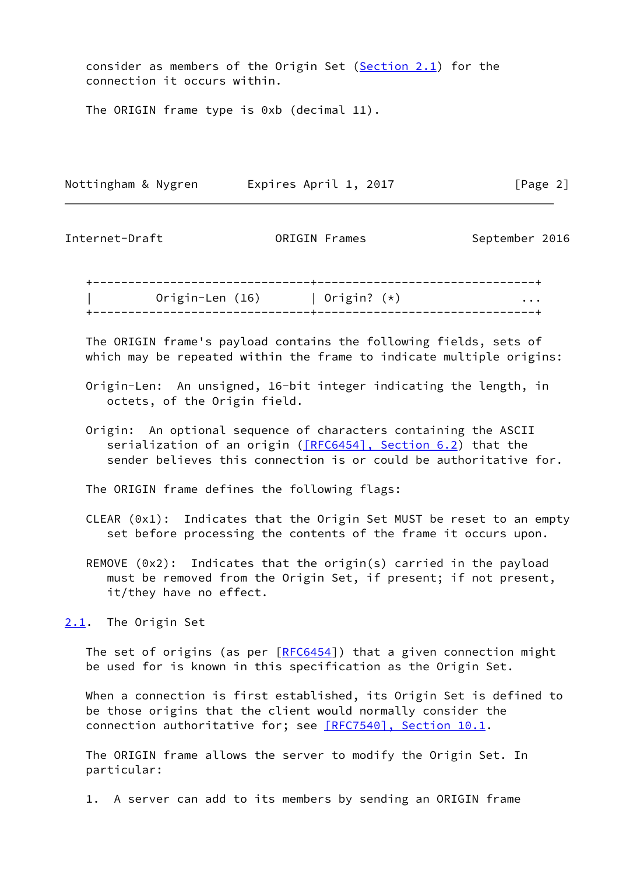consider as members of the Origin Set ( $Section 2.1$ ) for the connection it occurs within.

The ORIGIN frame type is 0xb (decimal 11).

Nottingham & Nygren **Expires April 1, 2017** [Page 2]

<span id="page-2-1"></span>Internet-Draft ORIGIN Frames September 2016

 +-------------------------------+-------------------------------+ Origin-Len (16) | Origin? (\*) ... +-------------------------------+-------------------------------+

 The ORIGIN frame's payload contains the following fields, sets of which may be repeated within the frame to indicate multiple origins:

- Origin-Len: An unsigned, 16-bit integer indicating the length, in octets, of the Origin field.
- Origin: An optional sequence of characters containing the ASCII serialization of an origin ([\[RFC6454\], Section](https://datatracker.ietf.org/doc/pdf/rfc6454#section-6.2) 6.2) that the sender believes this connection is or could be authoritative for.

The ORIGIN frame defines the following flags:

- CLEAR (0x1): Indicates that the Origin Set MUST be reset to an empty set before processing the contents of the frame it occurs upon.
- REMOVE (0x2): Indicates that the origin(s) carried in the payload must be removed from the Origin Set, if present; if not present, it/they have no effect.

<span id="page-2-0"></span>[2.1](#page-2-0). The Origin Set

The set of origins (as per [[RFC6454\]](https://datatracker.ietf.org/doc/pdf/rfc6454)) that a given connection might be used for is known in this specification as the Origin Set.

 When a connection is first established, its Origin Set is defined to be those origins that the client would normally consider the connection authoritative for; see [\[RFC7540\], Section](https://datatracker.ietf.org/doc/pdf/rfc7540#section-10.1) 10.1.

 The ORIGIN frame allows the server to modify the Origin Set. In particular:

1. A server can add to its members by sending an ORIGIN frame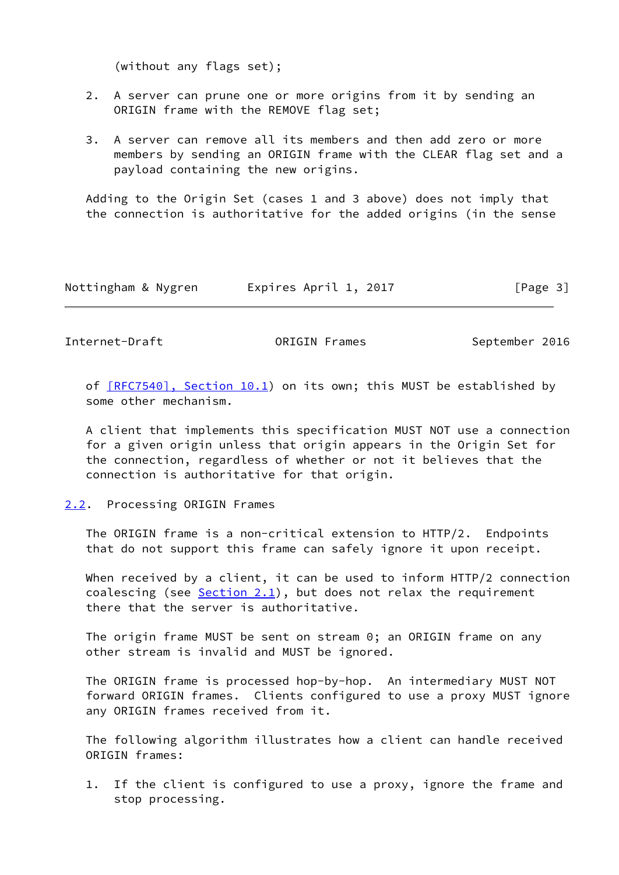(without any flags set);

- 2. A server can prune one or more origins from it by sending an ORIGIN frame with the REMOVE flag set;
- 3. A server can remove all its members and then add zero or more members by sending an ORIGIN frame with the CLEAR flag set and a payload containing the new origins.

 Adding to the Origin Set (cases 1 and 3 above) does not imply that the connection is authoritative for the added origins (in the sense

| Nottingham & Nygren | Expires April 1, 2017 | [Page 3] |
|---------------------|-----------------------|----------|
|---------------------|-----------------------|----------|

<span id="page-3-1"></span>Internet-Draft **Canadian CORIGIN Frames** September 2016

of  $[RFC7540]$ , Section 10.1) on its own; this MUST be established by some other mechanism.

 A client that implements this specification MUST NOT use a connection for a given origin unless that origin appears in the Origin Set for the connection, regardless of whether or not it believes that the connection is authoritative for that origin.

#### <span id="page-3-0"></span>[2.2](#page-3-0). Processing ORIGIN Frames

 The ORIGIN frame is a non-critical extension to HTTP/2. Endpoints that do not support this frame can safely ignore it upon receipt.

When received by a client, it can be used to inform HTTP/2 connection coalescing (see  $Section 2.1$ ), but does not relax the requirement there that the server is authoritative.

 The origin frame MUST be sent on stream 0; an ORIGIN frame on any other stream is invalid and MUST be ignored.

 The ORIGIN frame is processed hop-by-hop. An intermediary MUST NOT forward ORIGIN frames. Clients configured to use a proxy MUST ignore any ORIGIN frames received from it.

 The following algorithm illustrates how a client can handle received ORIGIN frames:

 1. If the client is configured to use a proxy, ignore the frame and stop processing.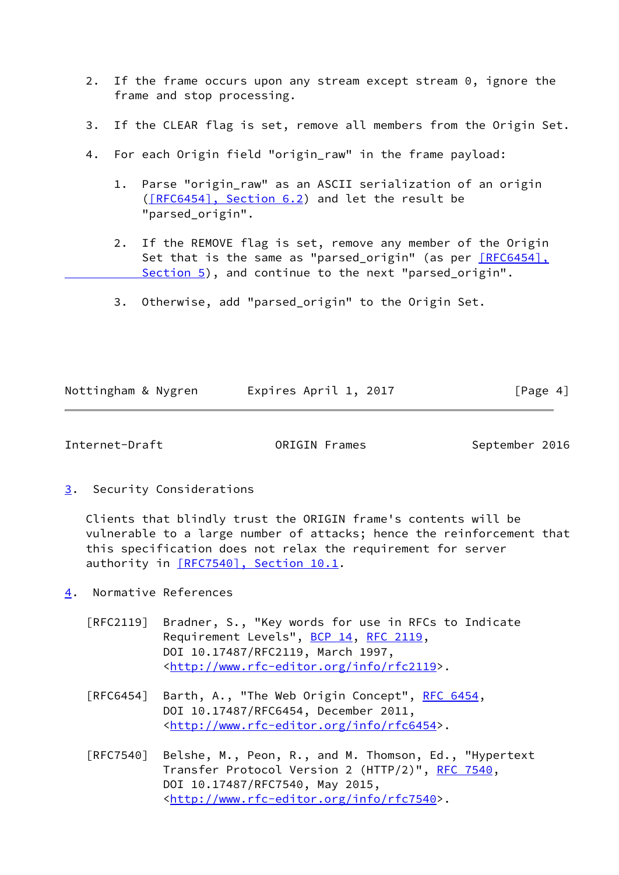- 2. If the frame occurs upon any stream except stream 0, ignore the frame and stop processing.
- 3. If the CLEAR flag is set, remove all members from the Origin Set.
- 4. For each Origin field "origin\_raw" in the frame payload:
	- 1. Parse "origin\_raw" as an ASCII serialization of an origin [\(\[RFC6454\], Section](https://datatracker.ietf.org/doc/pdf/rfc6454#section-6.2) 6.2) and let the result be "parsed\_origin".
	- 2. If the REMOVE flag is set, remove any member of the Origin Set that is the same as "parsed\_origin" (as per [\[RFC6454\],](https://datatracker.ietf.org/doc/pdf/rfc6454#section-5) Section 5), and continue to the next "parsed\_origin".
	- 3. Otherwise, add "parsed\_origin" to the Origin Set.

| Nottingham & Nygren | Expires April 1, 2017 | [Page 4] |
|---------------------|-----------------------|----------|
|                     |                       |          |

<span id="page-4-1"></span>Internet-Draft **ORIGIN Frames** September 2016

<span id="page-4-0"></span>[3](#page-4-0). Security Considerations

 Clients that blindly trust the ORIGIN frame's contents will be vulnerable to a large number of attacks; hence the reinforcement that this specification does not relax the requirement for server authority in [\[RFC7540\], Section](https://datatracker.ietf.org/doc/pdf/rfc7540#section-10.1) 10.1.

- <span id="page-4-2"></span>[4](#page-4-2). Normative References
	- [RFC2119] Bradner, S., "Key words for use in RFCs to Indicate Requirement Levels", [BCP 14](https://datatracker.ietf.org/doc/pdf/bcp14), [RFC 2119](https://datatracker.ietf.org/doc/pdf/rfc2119), DOI 10.17487/RFC2119, March 1997, <<http://www.rfc-editor.org/info/rfc2119>>.
	- [RFC6454] Barth, A., "The Web Origin Concept", [RFC 6454](https://datatracker.ietf.org/doc/pdf/rfc6454), DOI 10.17487/RFC6454, December 2011, <<http://www.rfc-editor.org/info/rfc6454>>.
	- [RFC7540] Belshe, M., Peon, R., and M. Thomson, Ed., "Hypertext Transfer Protocol Version 2 (HTTP/2)", [RFC 7540](https://datatracker.ietf.org/doc/pdf/rfc7540), DOI 10.17487/RFC7540, May 2015, <<http://www.rfc-editor.org/info/rfc7540>>.